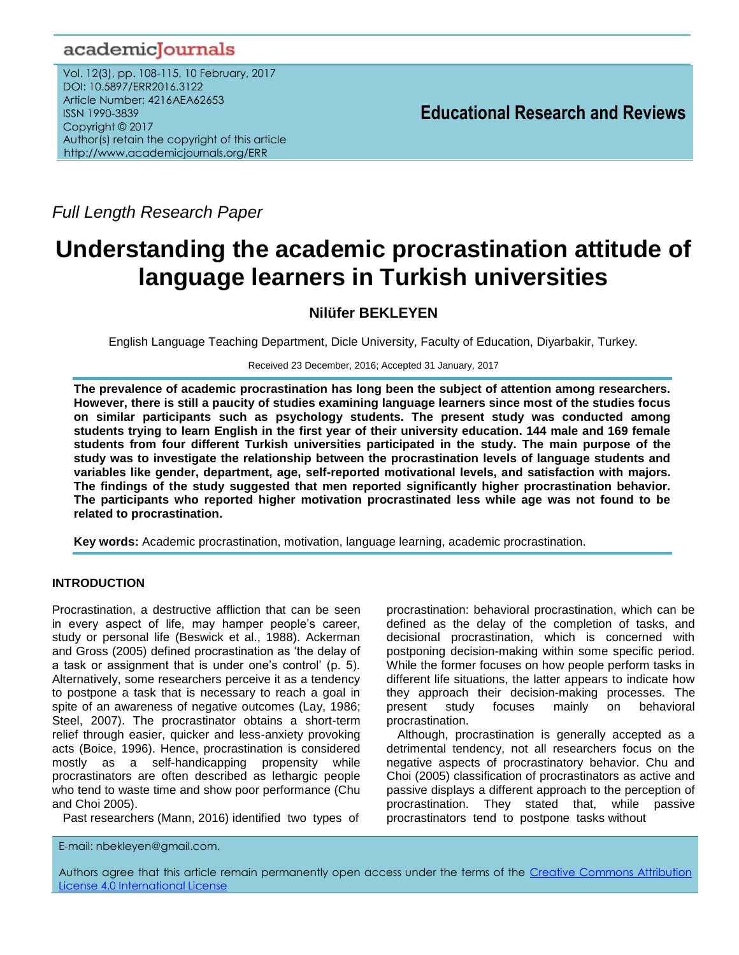## academicJournals

Vol. 12(3), pp. 108-115, 10 February, 2017 DOI: 10.5897/ERR2016.3122 Article Number: 4216AEA62653 ISSN 1990-3839 Copyright © 2017 Author(s) retain the copyright of this article http://www.academicjournals.org/ERR

**Educational Research and Reviews**

*Full Length Research Paper*

# **Understanding the academic procrastination attitude of language learners in Turkish universities**

## **Nilüfer BEKLEYEN**

English Language Teaching Department, Dicle University, Faculty of Education, Diyarbakir, Turkey.

Received 23 December, 2016; Accepted 31 January, 2017

**The prevalence of academic procrastination has long been the subject of attention among researchers. However, there is still a paucity of studies examining language learners since most of the studies focus on similar participants such as psychology students. The present study was conducted among students trying to learn English in the first year of their university education. 144 male and 169 female students from four different Turkish universities participated in the study. The main purpose of the study was to investigate the relationship between the procrastination levels of language students and variables like gender, department, age, self-reported motivational levels, and satisfaction with majors. The findings of the study suggested that men reported significantly higher procrastination behavior. The participants who reported higher motivation procrastinated less while age was not found to be related to procrastination.**

**Key words:** Academic procrastination, motivation, language learning, academic procrastination.

### **INTRODUCTION**

Procrastination, a destructive affliction that can be seen in every aspect of life, may hamper people's career, study or personal life (Beswick et al., 1988). Ackerman and Gross (2005) defined procrastination as "the delay of a task or assignment that is under one"s control" (p. 5). Alternatively, some researchers perceive it as a tendency to postpone a task that is necessary to reach a goal in spite of an awareness of negative outcomes (Lay, 1986; Steel, 2007). The procrastinator obtains a short-term relief through easier, quicker and less-anxiety provoking acts (Boice, 1996). Hence, procrastination is considered mostly as a self-handicapping propensity while procrastinators are often described as lethargic people who tend to waste time and show poor performance (Chu and Choi 2005).

Past researchers (Mann, 2016) identified two types of

procrastination: behavioral procrastination, which can be defined as the delay of the completion of tasks, and decisional procrastination, which is concerned with postponing decision-making within some specific period. While the former focuses on how people perform tasks in different life situations, the latter appears to indicate how they approach their decision-making processes. The present study focuses mainly on behavioral procrastination.

Although, procrastination is generally accepted as a detrimental tendency, not all researchers focus on the negative aspects of procrastinatory behavior. Chu and Choi (2005) classification of procrastinators as active and passive displays a different approach to the perception of procrastination. They stated that, while passive procrastinators tend to postpone tasks without

E-mail: nbekleyen@gmail.com.

Authors agree that this article remain permanently open access under the terms of the Creative Commons Attribution [License 4.0 International License](file://192.168.1.24/reading/Arts%20and%20Education/ERR/2014/sept/read/Correction%20Pdf%201/ERR-17.04.14-1816/Publication/Creative%20Co)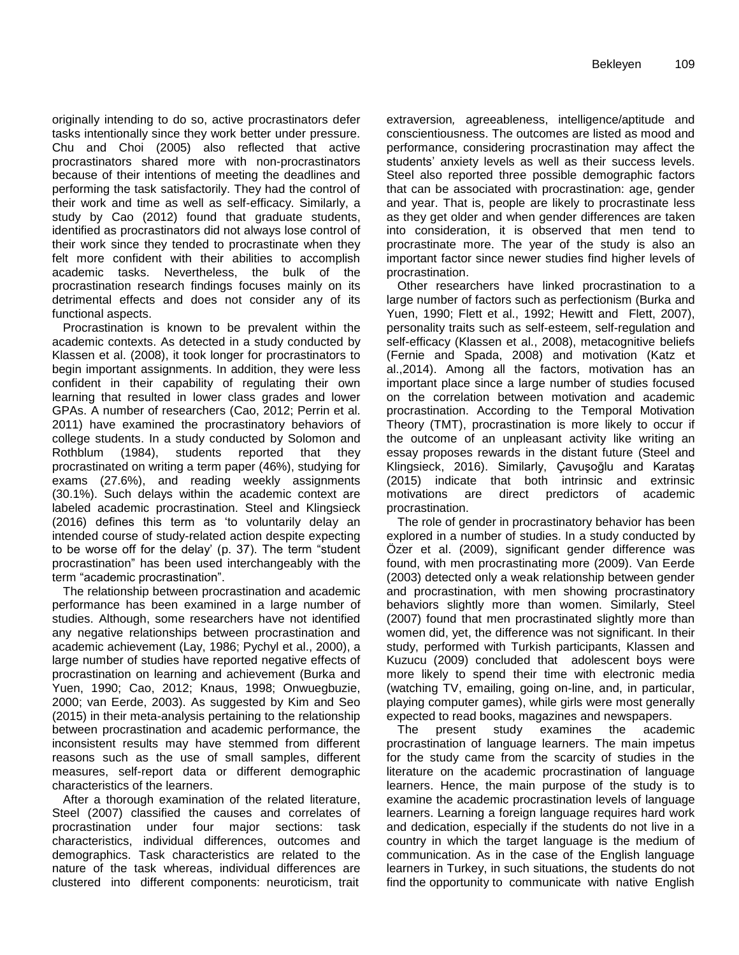originally intending to do so, active procrastinators defer tasks intentionally since they work better under pressure. Chu and Choi (2005) also reflected that active procrastinators shared more with non-procrastinators because of their intentions of meeting the deadlines and performing the task satisfactorily. They had the control of their work and time as well as self-efficacy. Similarly, a study by Cao (2012) found that graduate students, identified as procrastinators did not always lose control of their work since they tended to procrastinate when they felt more confident with their abilities to accomplish academic tasks. Nevertheless, the bulk of the procrastination research findings focuses mainly on its detrimental effects and does not consider any of its functional aspects.

Procrastination is known to be prevalent within the academic contexts. As detected in a study conducted by Klassen et al. (2008), it took longer for procrastinators to begin important assignments. In addition, they were less confident in their capability of regulating their own learning that resulted in lower class grades and lower GPAs. A number of researchers (Cao, 2012; Perrin et al. 2011) have examined the procrastinatory behaviors of college students. In a study conducted by Solomon and Rothblum (1984), students reported that they procrastinated on writing a term paper (46%), studying for exams (27.6%), and reading weekly assignments (30.1%). Such delays within the academic context are labeled academic procrastination. Steel and Klingsieck (2016) defines this term as "to voluntarily delay an intended course of study-related action despite expecting to be worse off for the delay" (p. 37). The term "student procrastination" has been used interchangeably with the term "academic procrastination".

The relationship between procrastination and academic performance has been examined in a large number of studies. Although, some researchers have not identified any negative relationships between procrastination and academic achievement (Lay, 1986; Pychyl et al., 2000), a large number of studies have reported negative effects of procrastination on learning and achievement (Burka and Yuen, 1990; Cao, 2012; Knaus, 1998; Onwuegbuzie, 2000; van Eerde, 2003). As suggested by Kim and Seo (2015) in their meta-analysis pertaining to the relationship between procrastination and academic performance, the inconsistent results may have stemmed from different reasons such as the use of small samples, different measures, self-report data or different demographic characteristics of the learners.

After a thorough examination of the related literature, Steel (2007) classified the causes and correlates of procrastination under four major sections: task characteristics, individual differences, outcomes and demographics. Task characteristics are related to the nature of the task whereas, individual differences are clustered into different components: neuroticism, trait extraversion*,* agreeableness, intelligence/aptitude and conscientiousness. The outcomes are listed as mood and performance, considering procrastination may affect the students' anxiety levels as well as their success levels. Steel also reported three possible demographic factors that can be associated with procrastination: age, gender and year. That is, people are likely to procrastinate less as they get older and when gender differences are taken into consideration, it is observed that men tend to procrastinate more. The year of the study is also an important factor since newer studies find higher levels of procrastination.

Other researchers have linked procrastination to a large number of factors such as perfectionism (Burka and Yuen, 1990; Flett et al., 1992; Hewitt and Flett, 2007), personality traits such as self-esteem, self-regulation and self-efficacy (Klassen et al., 2008), metacognitive beliefs (Fernie and Spada, 2008) and motivation (Katz et al.,2014). Among all the factors, motivation has an important place since a large number of studies focused on the correlation between motivation and academic procrastination. According to the Temporal Motivation Theory (TMT), procrastination is more likely to occur if the outcome of an unpleasant activity like writing an essay proposes rewards in the distant future (Steel and Klingsieck, 2016). Similarly, Çavuşoğlu and Karataş (2015) indicate that both intrinsic and extrinsic motivations are direct predictors of academic procrastination.

The role of gender in procrastinatory behavior has been explored in a number of studies. In a study conducted by Özer et al. (2009), significant gender difference was found, with men procrastinating more (2009). Van Eerde (2003) detected only a weak relationship between gender and procrastination, with men showing procrastinatory behaviors slightly more than women. Similarly, Steel (2007) found that men procrastinated slightly more than women did, yet, the difference was not significant. In their study, performed with Turkish participants, Klassen and Kuzucu (2009) concluded that adolescent boys were more likely to spend their time with electronic media (watching TV, emailing, going on-line, and, in particular, playing computer games), while girls were most generally expected to read books, magazines and newspapers.

The present study examines the academic procrastination of language learners. The main impetus for the study came from the scarcity of studies in the literature on the academic procrastination of language learners. Hence, the main purpose of the study is to examine the academic procrastination levels of language learners. Learning a foreign language requires hard work and dedication, especially if the students do not live in a country in which the target language is the medium of communication. As in the case of the English language learners in Turkey, in such situations, the students do not find the opportunity to communicate with native English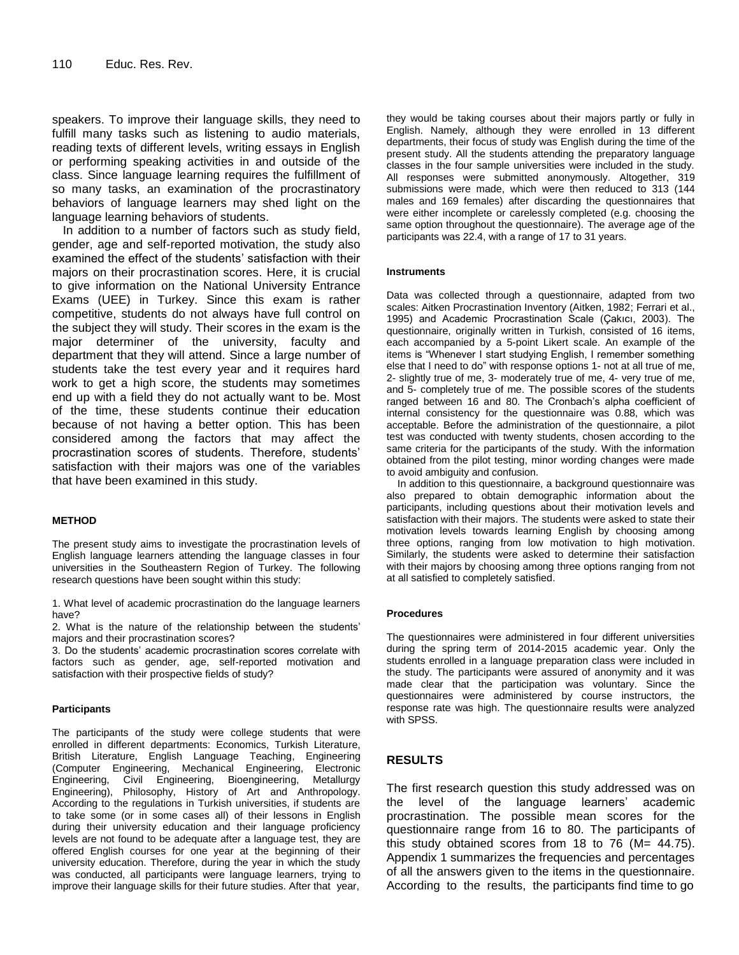speakers. To improve their language skills, they need to fulfill many tasks such as listening to audio materials, reading texts of different levels, writing essays in English or performing speaking activities in and outside of the class. Since language learning requires the fulfillment of so many tasks, an examination of the procrastinatory behaviors of language learners may shed light on the language learning behaviors of students.

In addition to a number of factors such as study field, gender, age and self-reported motivation, the study also examined the effect of the students' satisfaction with their majors on their procrastination scores. Here, it is crucial to give information on the National University Entrance Exams (UEE) in Turkey. Since this exam is rather competitive, students do not always have full control on the subject they will study. Their scores in the exam is the major determiner of the university, faculty and department that they will attend. Since a large number of students take the test every year and it requires hard work to get a high score, the students may sometimes end up with a field they do not actually want to be. Most of the time, these students continue their education because of not having a better option. This has been considered among the factors that may affect the procrastination scores of students. Therefore, students" satisfaction with their majors was one of the variables that have been examined in this study.

#### **METHOD**

The present study aims to investigate the procrastination levels of English language learners attending the language classes in four universities in the Southeastern Region of Turkey. The following research questions have been sought within this study:

1. What level of academic procrastination do the language learners have?

2. What is the nature of the relationship between the students" majors and their procrastination scores?

3. Do the students" academic procrastination scores correlate with factors such as gender, age, self-reported motivation and satisfaction with their prospective fields of study?

#### **Participants**

The participants of the study were college students that were enrolled in different departments: Economics, Turkish Literature, British Literature, English Language Teaching, Engineering (Computer Engineering, Mechanical Engineering, Electronic Engineering, Civil Engineering, Bioengineering, Metallurgy Engineering), Philosophy, History of Art and Anthropology. According to the regulations in Turkish universities, if students are to take some (or in some cases all) of their lessons in English during their university education and their language proficiency levels are not found to be adequate after a language test, they are offered English courses for one year at the beginning of their university education. Therefore, during the year in which the study was conducted, all participants were language learners, trying to improve their language skills for their future studies. After that year,

they would be taking courses about their majors partly or fully in English. Namely, although they were enrolled in 13 different departments, their focus of study was English during the time of the present study. All the students attending the preparatory language classes in the four sample universities were included in the study. All responses were submitted anonymously. Altogether, 319 submissions were made, which were then reduced to 313 (144 males and 169 females) after discarding the questionnaires that were either incomplete or carelessly completed (e.g. choosing the same option throughout the questionnaire). The average age of the participants was 22.4, with a range of 17 to 31 years.

#### **Instruments**

Data was collected through a questionnaire, adapted from two scales: Aitken Procrastination Inventory (Aitken, 1982; Ferrari et al., 1995) and Academic Procrastination Scale (Çakıcı, 2003). The questionnaire, originally written in Turkish, consisted of 16 items, each accompanied by a 5-point Likert scale. An example of the items is "Whenever I start studying English, I remember something else that I need to do" with response options 1- not at all true of me, 2- slightly true of me, 3- moderately true of me, 4- very true of me, and 5- completely true of me. The possible scores of the students ranged between 16 and 80. The Cronbach's alpha coefficient of internal consistency for the questionnaire was 0.88, which was acceptable. Before the administration of the questionnaire, a pilot test was conducted with twenty students, chosen according to the same criteria for the participants of the study. With the information obtained from the pilot testing, minor wording changes were made to avoid ambiguity and confusion.

In addition to this questionnaire, a background questionnaire was also prepared to obtain demographic information about the participants, including questions about their motivation levels and satisfaction with their majors. The students were asked to state their motivation levels towards learning English by choosing among three options, ranging from low motivation to high motivation. Similarly, the students were asked to determine their satisfaction with their majors by choosing among three options ranging from not at all satisfied to completely satisfied.

#### **Procedures**

The questionnaires were administered in four different universities during the spring term of 2014-2015 academic year. Only the students enrolled in a language preparation class were included in the study. The participants were assured of anonymity and it was made clear that the participation was voluntary. Since the questionnaires were administered by course instructors, the response rate was high. The questionnaire results were analyzed with SPSS.

#### **RESULTS**

The first research question this study addressed was on the level of the language learners" academic procrastination. The possible mean scores for the questionnaire range from 16 to 80. The participants of this study obtained scores from 18 to 76 (M= 44.75). Appendix 1 summarizes the frequencies and percentages of all the answers given to the items in the questionnaire. According to the results, the participants find time to go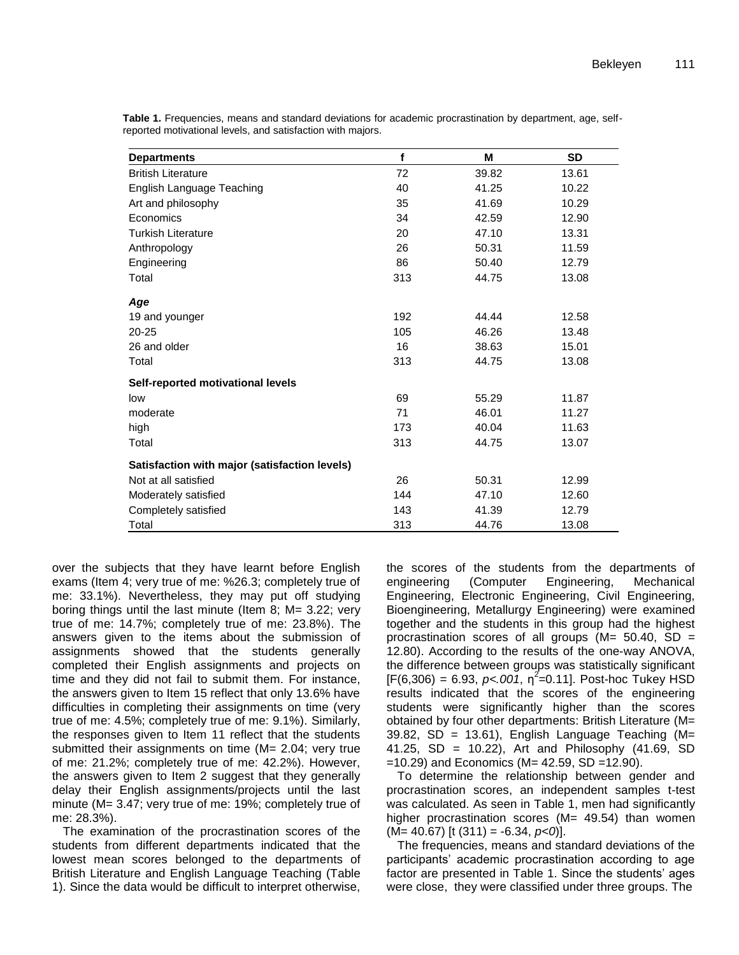| <b>Departments</b>                            | f   | M     | <b>SD</b> |
|-----------------------------------------------|-----|-------|-----------|
| <b>British Literature</b>                     | 72  | 39.82 | 13.61     |
| English Language Teaching                     | 40  | 41.25 | 10.22     |
| Art and philosophy                            | 35  | 41.69 | 10.29     |
| Economics                                     | 34  | 42.59 | 12.90     |
| <b>Turkish Literature</b>                     | 20  | 47.10 | 13.31     |
| Anthropology                                  | 26  | 50.31 | 11.59     |
| Engineering                                   | 86  | 50.40 | 12.79     |
| Total                                         | 313 | 44.75 | 13.08     |
| Age                                           |     |       |           |
| 19 and younger                                | 192 | 44.44 | 12.58     |
| $20 - 25$                                     | 105 | 46.26 | 13.48     |
| 26 and older                                  | 16  | 38.63 | 15.01     |
| Total                                         | 313 | 44.75 | 13.08     |
| Self-reported motivational levels             |     |       |           |
| low                                           | 69  | 55.29 | 11.87     |
| moderate                                      | 71  | 46.01 | 11.27     |
| high                                          | 173 | 40.04 | 11.63     |
| Total                                         | 313 | 44.75 | 13.07     |
| Satisfaction with major (satisfaction levels) |     |       |           |
| Not at all satisfied                          | 26  | 50.31 | 12.99     |
| Moderately satisfied                          | 144 | 47.10 | 12.60     |
| Completely satisfied                          | 143 | 41.39 | 12.79     |
| Total                                         | 313 | 44.76 | 13.08     |

**Table 1.** Frequencies, means and standard deviations for academic procrastination by department, age, selfreported motivational levels, and satisfaction with majors.

over the subjects that they have learnt before English exams (Item 4; very true of me: %26.3; completely true of me: 33.1%). Nevertheless, they may put off studying boring things until the last minute (Item 8; M= 3.22; very true of me: 14.7%; completely true of me: 23.8%). The answers given to the items about the submission of assignments showed that the students generally completed their English assignments and projects on time and they did not fail to submit them. For instance, the answers given to Item 15 reflect that only 13.6% have difficulties in completing their assignments on time (very true of me: 4.5%; completely true of me: 9.1%). Similarly, the responses given to Item 11 reflect that the students submitted their assignments on time (M= 2.04; very true of me: 21.2%; completely true of me: 42.2%). However, the answers given to Item 2 suggest that they generally delay their English assignments/projects until the last minute (M= 3.47; very true of me: 19%; completely true of me: 28.3%).

The examination of the procrastination scores of the students from different departments indicated that the lowest mean scores belonged to the departments of British Literature and English Language Teaching (Table 1). Since the data would be difficult to interpret otherwise, the scores of the students from the departments of engineering (Computer Engineering, Mechanical Engineering, Electronic Engineering, Civil Engineering, Bioengineering, Metallurgy Engineering) were examined together and the students in this group had the highest procrastination scores of all groups ( $M = 50.40$ , SD = 12.80). According to the results of the one-way ANOVA, the difference between groups was statistically significant  $[F(6,306) = 6.93, p<.001, \eta^2 = 0.11]$ . Post-hoc Tukey HSD results indicated that the scores of the engineering students were significantly higher than the scores obtained by four other departments: British Literature (M= 39.82, SD = 13.61), English Language Teaching  $(M=$ 41.25, SD = 10.22), Art and Philosophy (41.69, SD  $=10.29$ ) and Economics (M= 42.59, SD  $=12.90$ ).

To determine the relationship between gender and procrastination scores, an independent samples t-test was calculated. As seen in Table 1, men had significantly higher procrastination scores (M= 49.54) than women (M= 40.67) [t (311) = -6.34, *p<0*)].

The frequencies, means and standard deviations of the participants" academic procrastination according to age factor are presented in Table 1. Since the students' ages were close, they were classified under three groups. The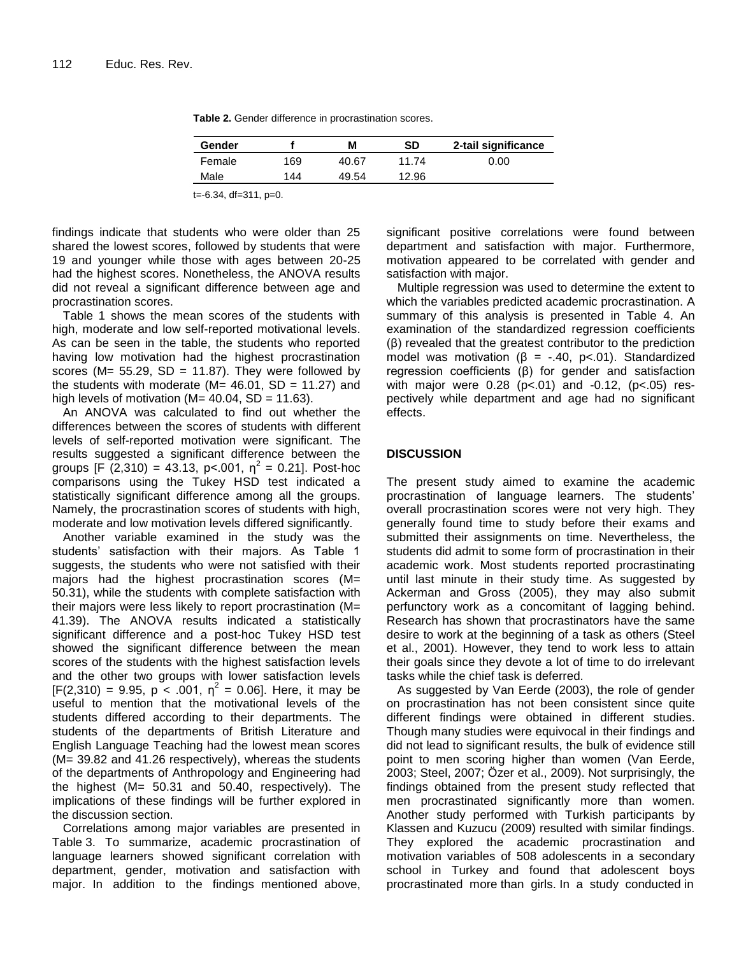|  | Table 2. Gender difference in procrastination scores. |  |
|--|-------------------------------------------------------|--|
|--|-------------------------------------------------------|--|

| Gender |     | м     | SD    | 2-tail significance |
|--------|-----|-------|-------|---------------------|
| Female | 169 | 40.67 | 11 74 | 0.00                |
| Male   | 144 | 49.54 | 12.96 |                     |
|        |     |       |       |                     |

t=-6.34, df=311, p=0.

findings indicate that students who were older than 25 shared the lowest scores, followed by students that were 19 and younger while those with ages between 20-25 had the highest scores. Nonetheless, the ANOVA results did not reveal a significant difference between age and procrastination scores.

Table 1 shows the mean scores of the students with high, moderate and low self-reported motivational levels. As can be seen in the table, the students who reported having low motivation had the highest procrastination scores (M=  $55.29$ , SD = 11.87). They were followed by the students with moderate (M=  $46.01$ , SD = 11.27) and high levels of motivation ( $M = 40.04$ ,  $SD = 11.63$ ).

An ANOVA was calculated to find out whether the differences between the scores of students with different levels of self-reported motivation were significant. The results suggested a significant difference between the groups [F  $(2,310) = 43.13$ , p<.001,  $\eta^2 = 0.21$ ]. Post-hoc comparisons using the Tukey HSD test indicated a statistically significant difference among all the groups. Namely, the procrastination scores of students with high, moderate and low motivation levels differed significantly.

Another variable examined in the study was the students" satisfaction with their majors. As Table 1 suggests, the students who were not satisfied with their majors had the highest procrastination scores (M= 50.31), while the students with complete satisfaction with their majors were less likely to report procrastination (M= 41.39). The ANOVA results indicated a statistically significant difference and a post-hoc Tukey HSD test showed the significant difference between the mean scores of the students with the highest satisfaction levels and the other two groups with lower satisfaction levels  $[F(2,310) = 9.95, p < .001, \eta^2 = 0.06]$ . Here, it may be useful to mention that the motivational levels of the students differed according to their departments. The students of the departments of British Literature and English Language Teaching had the lowest mean scores (M= 39.82 and 41.26 respectively), whereas the students of the departments of Anthropology and Engineering had the highest (M= 50.31 and 50.40, respectively). The implications of these findings will be further explored in the discussion section.

Correlations among major variables are presented in Table [3.](http://onlinelibrary.wiley.com/doi/10.1111/bjep.12079/full#bjep12079-tbl-0002) To summarize, academic procrastination of language learners showed significant correlation with department, gender, motivation and satisfaction with major. In addition to the findings mentioned above, significant positive correlations were found between department and satisfaction with major. Furthermore, motivation appeared to be correlated with gender and satisfaction with major.

Multiple regression was used to determine the extent to which the variables predicted academic procrastination. A summary of this analysis is presented in Table 4. An examination of the standardized regression coefficients (β) revealed that the greatest contributor to the prediction model was motivation ( $β = -.40$ ,  $p < .01$ ). Standardized regression coefficients (β) for gender and satisfaction with major were 0.28 (p<.01) and -0.12, (p<.05) respectively while department and age had no significant effects.

#### **DISCUSSION**

The present study aimed to examine the academic procrastination of language learners. The students' overall procrastination scores were not very high. They generally found time to study before their exams and submitted their assignments on time. Nevertheless, the students did admit to some form of procrastination in their academic work. Most students reported procrastinating until last minute in their study time. As suggested by Ackerman and Gross (2005), they may also submit perfunctory work as a concomitant of lagging behind. Research has shown that procrastinators have the same desire to work at the beginning of a task as others (Steel et al., 2001). However, they tend to work less to attain their goals since they devote a lot of time to do irrelevant tasks while the chief task is deferred.

As suggested by Van Eerde (2003), the role of gender on procrastination has not been consistent since quite different findings were obtained in different studies. Though many studies were equivocal in their findings and did not lead to significant results, the bulk of evidence still point to men scoring higher than women (Van Eerde, 2003; Steel, 2007; Özer et al., 2009). Not surprisingly, the findings obtained from the present study reflected that men procrastinated significantly more than women. Another study performed with Turkish participants by Klassen and Kuzucu (2009) resulted with similar findings. They explored the academic procrastination and motivation variables of 508 adolescents in a secondary school in Turkey and found that adolescent boys procrastinated more than girls. In a study conducted in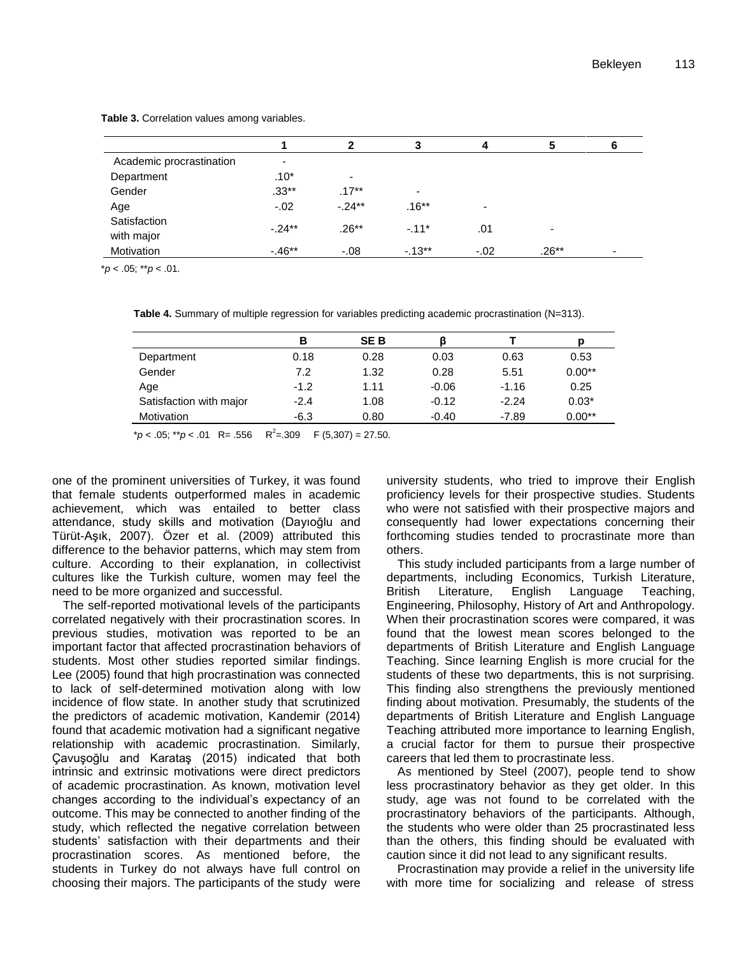|                          |         | 2                        |                          |                          |                          | 6 |
|--------------------------|---------|--------------------------|--------------------------|--------------------------|--------------------------|---|
| Academic procrastination | ٠       |                          |                          |                          |                          |   |
| Department               | $.10*$  | $\overline{\phantom{0}}$ |                          |                          |                          |   |
| Gender                   | $.33**$ | $.17***$                 | $\overline{\phantom{0}}$ |                          |                          |   |
| Age                      | $-.02$  | $-.24**$                 | $.16***$                 | $\overline{\phantom{0}}$ |                          |   |
| Satisfaction             | $-24**$ | $.26**$                  | $-11*$                   | .01                      | $\overline{\phantom{0}}$ |   |
| with major               |         |                          |                          |                          |                          |   |
| Motivation               | $-46**$ | $-0.08$                  | $-13**$                  | $-.02$                   | $.26**$                  |   |

**Table 3.** Correlation values among variables.

\**p* < .05; \*\**p* < .01.

**Table 4.** Summary of multiple regression for variables predicting academic procrastination (N=313).

| <b>SEB</b>      |         | D        |
|-----------------|---------|----------|
| 0.03<br>0.28    | 0.63    | 0.53     |
| 1.32<br>0.28    | 5.51    | $0.00**$ |
| $-0.06$<br>1.11 | $-1.16$ | 0.25     |
| $-0.12$<br>1.08 | $-2.24$ | $0.03*$  |
| $-0.40$<br>0.80 | -7.89   | $0.00**$ |
|                 |         |          |

 $p < .05$ ;  $p < .01$  R = .556 R<sup>2</sup> = .309 F (5,307) = 27.50.

one of the prominent universities of Turkey, it was found that female students outperformed males in academic achievement, which was entailed to better class attendance, study skills and motivation (Dayıoğlu and Türüt-Aşık, 2007). Özer et al. (2009) attributed this difference to the behavior patterns, which may stem from culture. According to their explanation, in collectivist cultures like the Turkish culture, women may feel the need to be more organized and successful.

The self-reported motivational levels of the participants correlated negatively with their procrastination scores. In previous studies, motivation was reported to be an important factor that affected procrastination behaviors of students. Most other studies reported similar findings. Lee (2005) found that high procrastination was connected to lack of self-determined motivation along with low incidence of flow state. In another study that scrutinized the predictors of academic motivation, Kandemir (2014) found that academic motivation had a significant negative relationship with academic procrastination. Similarly, Çavuşoğlu and Karataş (2015) indicated that both intrinsic and extrinsic motivations were direct predictors of academic procrastination. As known, motivation level changes according to the individual"s expectancy of an outcome. This may be connected to another finding of the study, which reflected the negative correlation between students" satisfaction with their departments and their procrastination scores. As mentioned before, the students in Turkey do not always have full control on choosing their majors. The participants of the study were university students, who tried to improve their English proficiency levels for their prospective studies. Students who were not satisfied with their prospective majors and consequently had lower expectations concerning their forthcoming studies tended to procrastinate more than others.

This study included participants from a large number of departments, including Economics, Turkish Literature, British Literature, English Language Teaching, Engineering, Philosophy, History of Art and Anthropology. When their procrastination scores were compared, it was found that the lowest mean scores belonged to the departments of British Literature and English Language Teaching. Since learning English is more crucial for the students of these two departments, this is not surprising. This finding also strengthens the previously mentioned finding about motivation. Presumably, the students of the departments of British Literature and English Language Teaching attributed more importance to learning English, a crucial factor for them to pursue their prospective careers that led them to procrastinate less.

As mentioned by Steel (2007), people tend to show less procrastinatory behavior as they get older. In this study, age was not found to be correlated with the procrastinatory behaviors of the participants. Although, the students who were older than 25 procrastinated less than the others, this finding should be evaluated with caution since it did not lead to any significant results.

Procrastination may provide a relief in the university life with more time for socializing and release of stress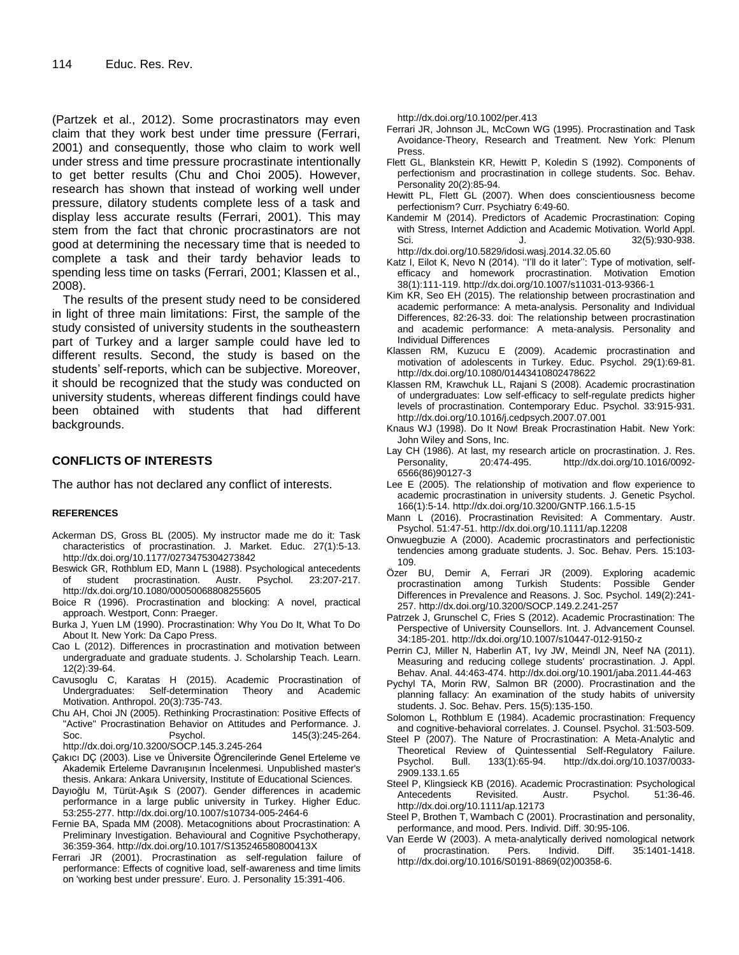(Partzek et al., 2012). Some procrastinators may even claim that they work best under time pressure (Ferrari, 2001) and consequently, those who claim to work well under stress and time pressure procrastinate intentionally to get better results (Chu and Choi 2005). However, research has shown that instead of working well under pressure, dilatory students complete less of a task and display less accurate results (Ferrari, 2001). This may stem from the fact that chronic procrastinators are not good at determining the necessary time that is needed to complete a task and their tardy behavior leads to spending less time on tasks (Ferrari, 2001; Klassen et al., 2008).

The results of the present study need to be considered in light of three main limitations: First, the sample of the study consisted of university students in the southeastern part of Turkey and a larger sample could have led to different results. Second, the study is based on the students' self-reports, which can be subjective. Moreover, it should be recognized that the study was conducted on university students, whereas different findings could have been obtained with students that had different backgrounds.

#### **CONFLICTS OF INTERESTS**

The author has not declared any conflict of interests.

#### **REFERENCES**

- Ackerman DS, Gross BL (2005). My instructor made me do it: Task characteristics of procrastination. J. Market. Educ. 27(1):5-13. http://dx.doi.org/10.1177/0273475304273842
- Beswick GR, Rothblum ED, Mann L (1988). Psychological antecedents of student procrastination. Austr. Psychol. 23:207-217. http://dx.doi.org/10.1080/00050068808255605
- Boice R (1996). Procrastination and blocking: A novel, practical approach. Westport, Conn: Praeger.
- Burka J, Yuen LM (1990). Procrastination: Why You Do It, What To Do About It. New York: Da Capo Press.
- Cao L (2012). Differences in procrastination and motivation between undergraduate and graduate students. J. Scholarship Teach. Learn. 12(2):39-64.
- Cavusoglu C, Karatas H (2015). Academic Procrastination of Undergraduates: Self-determination Theory and Academic Motivation. Anthropol. 20(3):735-743.
- Chu AH, Choi JN (2005). Rethinking Procrastination: Positive Effects of "Active" Procrastination Behavior on Attitudes and Performance. J. Soc. Psychol. 245(3):245-264. http://dx.doi.org/10.3200/SOCP.145.3.245-264
- Çakıcı DÇ (2003). Lise ve Üniversite Öğrencilerinde Genel Erteleme ve Akademik Erteleme Davranışının İncelenmesi. Unpublished master's thesis. Ankara: Ankara University, Institute of Educational Sciences.
- Dayıoğlu M, Türüt-Aşık S (2007). Gender differences in academic performance in a large public university in Turkey. Higher Educ. 53:255-277. http://dx.doi.org/10.1007/s10734-005-2464-6
- Fernie BA, Spada MM (2008). Metacognitions about Procrastination: A Preliminary Investigation. Behavioural and Cognitive Psychotherapy, 36:359-364. [http://dx.doi.org/10.1017/S135246580800413X](https://doi.org/10.1017/S135246580800413X)
- Ferrari JR (2001). Procrastination as self-regulation failure of performance: Effects of cognitive load, self-awareness and time limits on 'working best under pressure'. Euro. J. Personality 15:391-406.

http://dx.doi.org/10.1002/per.413

- Ferrari JR, Johnson JL, McCown WG (1995). Procrastination and Task Avoidance-Theory, Research and Treatment. New York: Plenum Press.
- Flett GL, Blankstein KR, Hewitt P, Koledin S (1992). Components of perfectionism and procrastination in college students. Soc. Behav. Personality 20(2):85-94.
- Hewitt PL, Flett GL (2007). When does conscientiousness become perfectionism? Curr. Psychiatry 6:49-60.
- Kandemir M (2014). Predictors of Academic Procrastination: Coping with Stress, Internet Addiction and Academic Motivation. World Appl. Sci. 32(5):930-938. http://dx.doi.org/10.5829/idosi.wasj.2014.32.05.60
- 
- Katz I, Eilot K, Nevo N (2014). "I'll do it later": Type of motivation, selfefficacy and homework procrastination. Motivation Emotion 38(1):111-119. http://dx.doi.org/10.1007/s11031-013-9366-1
- Kim KR, Seo EH (2015). The relationship between procrastination and academic performance: A meta-analysis. Personality and Individual Differences, 82:26-33. doi: The relationship between procrastination and academic performance: A meta-analysis. Personality and Individual Differences
- Klassen RM, Kuzucu E (2009). Academic procrastination and motivation of adolescents in Turkey. Educ. Psychol. 29(1):69-81. http://dx.doi.org/10.1080/01443410802478622
- Klassen RM, Krawchuk LL, Rajani S (2008). Academic procrastination of undergraduates: Low self-efficacy to self-regulate predicts higher levels of procrastination. Contemporary Educ. Psychol. 33:915-931. http://dx.doi.org[/10.1016/j.cedpsych.2007.07.001](http://dx.doi.org/10.1016/j.cedpsych.2007.07.001)
- Knaus WJ (1998). Do It Now! Break Procrastination Habit. New York: John Wiley and Sons, Inc.
- Lay CH (1986). At last, my research article on procrastination. J. Res. Personality, 20:474-495. [http://dx.doi.org/10.1016/0092-](http://dx.doi.org/10.1016/0092-6566(86)90127-3) [6566\(86\)90127-3](http://dx.doi.org/10.1016/0092-6566(86)90127-3)
- Lee E (2005). The relationship of motivation and flow experience to academic procrastination in university students. J. Genetic Psychol. 166(1):5-14.<http://dx.doi.org/10.3200/GNTP.166.1.5-15>
- Mann L (2016). Procrastination Revisited: A Commentary. Austr. Psychol. 51:47-51. http://dx.doi.org/10.1111/ap.12208
- Onwuegbuzie A (2000). Academic procrastinators and perfectionistic tendencies among graduate students. J. Soc. Behav. Pers. 15:103- 109.
- Özer BU, Demir A, Ferrari JR (2009). Exploring academic procrastination among Turkish Students: Possible Gender Differences in Prevalence and Reasons. J. Soc. Psychol. 149(2):241- 257[. http://dx.doi.org/10.3200/SOCP.149.2.241-257](http://dx.doi.org/10.3200/SOCP.149.2.241-257)
- Patrzek J, Grunschel C, Fries S (2012). Academic Procrastination: The Perspective of University Counsellors. Int. J. Advancement Counsel. 34:185-201. http://dx.doi.org/10.1007/s10447-012-9150-z
- Perrin CJ, Miller N, Haberlin AT, Ivy JW, Meindl JN, Neef NA (2011). Measuring and reducing college students' procrastination. J. Appl. Behav. Anal. 44:463-474. http://dx.doi.or[g/10.1901/jaba.2011.44-463](https://dx.doi.org/10.1901%2Fjaba.2011.44-463)
- Pychyl TA, Morin RW, Salmon BR (2000). Procrastination and the planning fallacy: An examination of the study habits of university students. J. Soc. Behav. Pers. 15(5):135-150.
- Solomon L, Rothblum E (1984). Academic procrastination: Frequency and cognitive-behavioral correlates. J. Counsel. Psychol. 31:503-509.
- Steel P (2007). The Nature of Procrastination: A Meta-Analytic and Theoretical Review of Quintessential Self-Regulatory Failure. http://dx.doi.org/10.1037/0033-2909.133.1.65
- Steel P, Klingsieck KB (2016). Academic Procrastination: Psychological Antecedents Revisited. Austr. Psychol. 51:36-46. http://dx.doi.org/10.1111/ap.12173
- Steel P, Brothen T, Wambach C (2001). Procrastination and personality, performance, and mood. Pers. Individ. Diff. 30:95-106.
- Van Eerde W (2003). A meta-analytically derived nomological network of procrastination. Pers. Individ. Diff. 35:1401-1418. http://dx.doi.org/10.1016/S0191-8869(02)00358-6.